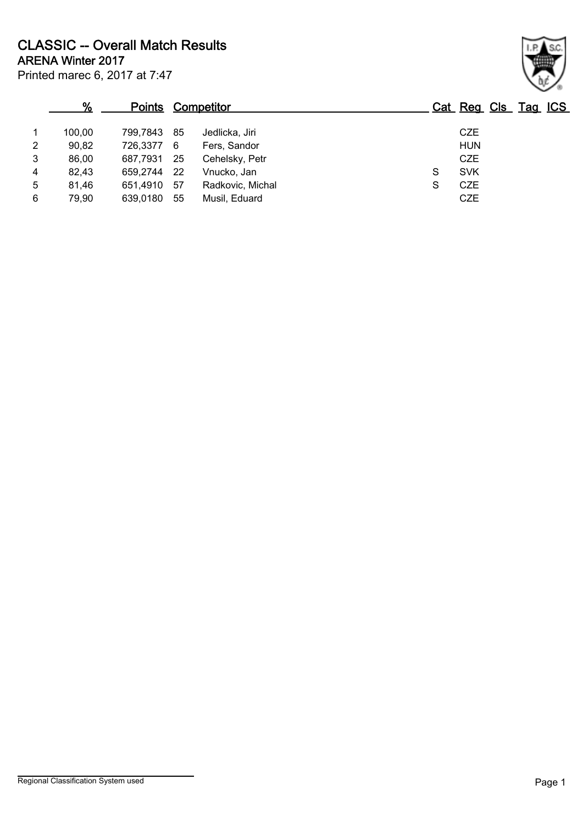Printed marec 6, 2017 at 7:47 ARENA Winter 2017 CLASSIC -- Overall Match Results

|                | %      | Points     |     | <b>Competitor</b> |   | Cat Reg Cls Tag ICS |  |
|----------------|--------|------------|-----|-------------------|---|---------------------|--|
| 1              | 100,00 | 799.7843   | 85  | Jedlicka, Jiri    |   | <b>CZE</b>          |  |
| $\overline{2}$ | 90,82  | 726,3377 6 |     | Fers, Sandor      |   | <b>HUN</b>          |  |
| 3              | 86,00  | 687,7931   | -25 | Cehelsky, Petr    |   | <b>CZE</b>          |  |
| 4              | 82,43  | 659.2744   | -22 | Vnucko, Jan       | S | <b>SVK</b>          |  |
| 5              | 81.46  | 651,4910   | 57  | Radkovic, Michal  | S | <b>CZE</b>          |  |
| 6              | 79,90  | 639,0180   | 55  | Musil, Eduard     |   | <b>CZE</b>          |  |

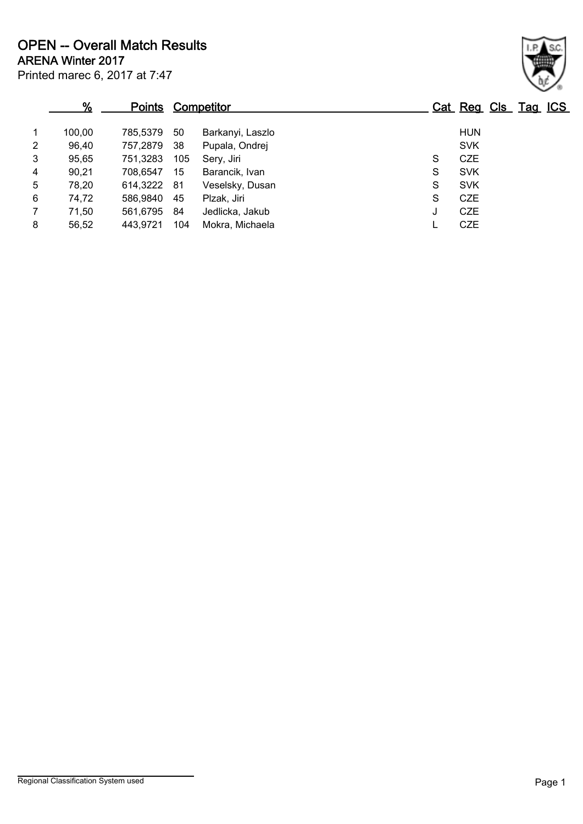|                | %      | <u>Points</u> |     | <b>Competitor</b> |   | Cat Reg Cls Tag ICS |  |
|----------------|--------|---------------|-----|-------------------|---|---------------------|--|
| $\mathbf{1}$   | 100,00 | 785.5379      | 50  | Barkanyi, Laszlo  |   | <b>HUN</b>          |  |
| $\overline{2}$ | 96,40  | 757,2879      | -38 | Pupala, Ondrej    |   | <b>SVK</b>          |  |
| 3              | 95,65  | 751,3283      | 105 | Sery, Jiri        | S | <b>CZE</b>          |  |
| 4              | 90,21  | 708.6547      | 15  | Barancik, Ivan    | S | <b>SVK</b>          |  |
| 5              | 78,20  | 614,3222 81   |     | Veselsky, Dusan   | S | <b>SVK</b>          |  |
| 6              | 74,72  | 586,9840      | -45 | Plzak, Jiri       | S | <b>CZE</b>          |  |
| $\overline{7}$ | 71,50  | 561,6795      | -84 | Jedlicka, Jakub   | J | <b>CZE</b>          |  |
| 8              | 56,52  | 443,9721      | 104 | Mokra, Michaela   |   | <b>CZE</b>          |  |

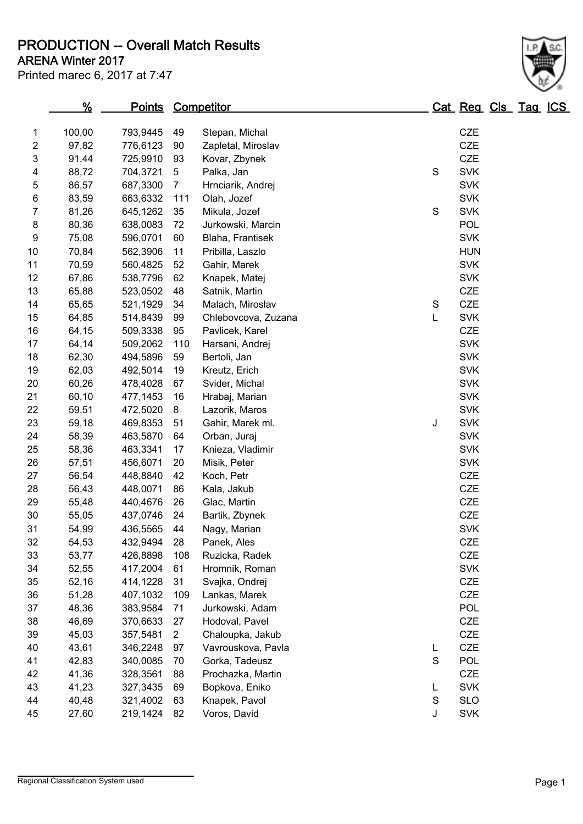PRODUCTION -- Overall Match Results

## Printed marec 6, 2017 at 7:47 ARENA Winter 2017

|                | %      | <u>Points</u> |                | <b>Competitor</b>   |             | Cat Reg Cls Tag IC |  |  |
|----------------|--------|---------------|----------------|---------------------|-------------|--------------------|--|--|
| 1              | 100,00 | 793,9445      | 49             | Stepan, Michal      |             | <b>CZE</b>         |  |  |
| $\overline{c}$ | 97,82  | 776,6123      | 90             | Zapletal, Miroslav  |             | <b>CZE</b>         |  |  |
| 3              | 91,44  | 725,9910      | 93             | Kovar, Zbynek       |             | <b>CZE</b>         |  |  |
| 4              | 88,72  | 704,3721      | 5              | Palka, Jan          | S           | <b>SVK</b>         |  |  |
| 5              | 86,57  | 687,3300      | $\overline{7}$ | Hrnciarik, Andrej   |             | <b>SVK</b>         |  |  |
| 6              | 83,59  | 663,6332      | 111            | Olah, Jozef         |             | <b>SVK</b>         |  |  |
| 7              | 81,26  | 645,1262      | 35             | Mikula, Jozef       | $\mathbf S$ | <b>SVK</b>         |  |  |
| 8              | 80,36  | 638,0083      | 72             | Jurkowski, Marcin   |             | POL                |  |  |
| 9              | 75,08  | 596,0701      | 60             | Blaha, Frantisek    |             | <b>SVK</b>         |  |  |
| 10             | 70,84  | 562,3906      | 11             | Pribilla, Laszlo    |             | <b>HUN</b>         |  |  |
| 11             | 70,59  | 560,4825      | 52             | Gahir, Marek        |             | <b>SVK</b>         |  |  |
| 12             | 67,86  | 538,7796      | 62             | Knapek, Matej       |             | <b>SVK</b>         |  |  |
| 13             | 65,88  | 523,0502      | 48             | Satnik, Martin      |             | <b>CZE</b>         |  |  |
| 14             | 65,65  | 521,1929      | 34             | Malach, Miroslav    | S           | <b>CZE</b>         |  |  |
| 15             | 64,85  | 514,8439      | 99             | Chlebovcova, Zuzana | L           | <b>SVK</b>         |  |  |
| 16             | 64,15  | 509,3338      | 95             | Pavlicek, Karel     |             | <b>CZE</b>         |  |  |
| 17             | 64,14  | 509,2062      | 110            | Harsani, Andrej     |             | <b>SVK</b>         |  |  |
| 18             | 62,30  | 494,5896      | 59             | Bertoli, Jan        |             | <b>SVK</b>         |  |  |
| 19             | 62,03  | 492,5014      | 19             | Kreutz, Erich       |             | <b>SVK</b>         |  |  |
| 20             | 60,26  | 478,4028      | 67             | Svider, Michal      |             | <b>SVK</b>         |  |  |
| 21             | 60,10  | 477,1453      | 16             | Hrabaj, Marian      |             | <b>SVK</b>         |  |  |
| 22             | 59,51  | 472,5020      | 8              | Lazorik, Maros      |             | <b>SVK</b>         |  |  |
| 23             | 59,18  | 469,8353      | 51             | Gahir, Marek ml.    | J           | <b>SVK</b>         |  |  |
| 24             | 58,39  | 463,5870      | 64             | Orban, Juraj        |             | <b>SVK</b>         |  |  |
| 25             | 58,36  | 463,3341      | 17             | Knieza, Vladimir    |             | <b>SVK</b>         |  |  |
| 26             | 57,51  | 456,6071      | 20             | Misik, Peter        |             | <b>SVK</b>         |  |  |
| 27             | 56,54  | 448,8840      | 42             | Koch, Petr          |             | <b>CZE</b>         |  |  |
| 28             | 56,43  | 448,0071      | 86             | Kala, Jakub         |             | <b>CZE</b>         |  |  |
| 29             | 55,48  | 440,4676      | 26             | Glac, Martin        |             | <b>CZE</b>         |  |  |
| 30             | 55,05  | 437,0746      | 24             | Bartik, Zbynek      |             | <b>CZE</b>         |  |  |
| 31             | 54,99  | 436,5565      | 44             | Nagy, Marian        |             | <b>SVK</b>         |  |  |
| 32             | 54,53  | 432,9494      | 28             | Panek, Ales         |             | <b>CZE</b>         |  |  |
| 33             | 53,77  | 426,8898      | 108            | Ruzicka, Radek      |             | CZE                |  |  |
| 34             | 52,55  | 417,2004      | 61             | Hromnik, Roman      |             | <b>SVK</b>         |  |  |
| 35             | 52,16  | 414,1228      | 31             | Svajka, Ondrej      |             | <b>CZE</b>         |  |  |
| 36             | 51,28  | 407,1032      | 109            | Lankas, Marek       |             | CZE                |  |  |
| 37             | 48,36  | 383,9584      | 71             | Jurkowski, Adam     |             | POL                |  |  |
| 38             | 46,69  | 370,6633      | 27             | Hodoval, Pavel      |             | CZE                |  |  |
| 39             | 45,03  | 357,5481      | $\overline{2}$ | Chaloupka, Jakub    |             | CZE                |  |  |
| 40             | 43,61  | 346,2248      | 97             | Vavrouskova, Pavla  | L           | CZE                |  |  |
| 41             | 42,83  | 340,0085      | 70             | Gorka, Tadeusz      | S           | POL                |  |  |
| 42             | 41,36  | 328,3561      | 88             | Prochazka, Martin   |             | <b>CZE</b>         |  |  |
| 43             | 41,23  | 327,3435      | 69             | Bopkova, Eniko      | L           | <b>SVK</b>         |  |  |
| 44             | 40,48  | 321,4002      | 63             | Knapek, Pavol       | $\mathbf S$ | <b>SLO</b>         |  |  |
| 45             | 27,60  | 219,1424      | 82             | Voros, David        | J           | <b>SVK</b>         |  |  |

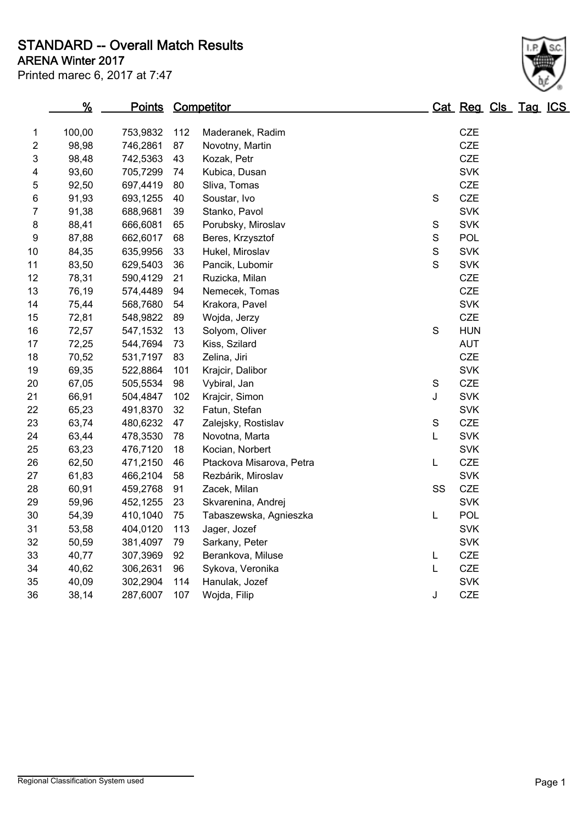STANDARD -- Overall Match Results

| Printed marec 6, 2017 at 7:47 |
|-------------------------------|
|-------------------------------|

# ARENA Winter 2017

|    | $\frac{9}{6}$<br>Points Competitor |          |     |                          |             |            | Cat Reg Cls Tag ICS |  |  |  |  |
|----|------------------------------------|----------|-----|--------------------------|-------------|------------|---------------------|--|--|--|--|
| 1  | 100,00                             | 753,9832 | 112 | Maderanek, Radim         |             | <b>CZE</b> |                     |  |  |  |  |
| 2  | 98,98                              | 746,2861 | 87  | Novotny, Martin          |             | <b>CZE</b> |                     |  |  |  |  |
| 3  | 98,48                              | 742,5363 | 43  | Kozak, Petr              |             | <b>CZE</b> |                     |  |  |  |  |
| 4  | 93,60                              | 705,7299 | 74  | Kubica, Dusan            |             | <b>SVK</b> |                     |  |  |  |  |
| 5  | 92,50                              | 697,4419 | 80  | Sliva, Tomas             |             | <b>CZE</b> |                     |  |  |  |  |
| 6  | 91,93                              | 693,1255 | 40  | Soustar, Ivo             | S           | <b>CZE</b> |                     |  |  |  |  |
| 7  | 91,38                              | 688,9681 | 39  | Stanko, Pavol            |             | <b>SVK</b> |                     |  |  |  |  |
| 8  | 88,41                              | 666,6081 | 65  | Porubsky, Miroslav       | S           | <b>SVK</b> |                     |  |  |  |  |
| 9  | 87,88                              | 662,6017 | 68  | Beres, Krzysztof         | $\mathsf S$ | <b>POL</b> |                     |  |  |  |  |
| 10 | 84,35                              | 635,9956 | 33  | Hukel, Miroslav          | $\mathbf S$ | <b>SVK</b> |                     |  |  |  |  |
| 11 | 83,50                              | 629,5403 | 36  | Pancik, Lubomir          | $\mathsf S$ | <b>SVK</b> |                     |  |  |  |  |
| 12 | 78,31                              | 590,4129 | 21  | Ruzicka, Milan           |             | <b>CZE</b> |                     |  |  |  |  |
| 13 | 76,19                              | 574,4489 | 94  | Nemecek, Tomas           |             | <b>CZE</b> |                     |  |  |  |  |
| 14 | 75,44                              | 568,7680 | 54  | Krakora, Pavel           |             | <b>SVK</b> |                     |  |  |  |  |
| 15 | 72,81                              | 548,9822 | 89  | Wojda, Jerzy             |             | <b>CZE</b> |                     |  |  |  |  |
| 16 | 72,57                              | 547,1532 | 13  | Solyom, Oliver           | S           | <b>HUN</b> |                     |  |  |  |  |
| 17 | 72,25                              | 544,7694 | 73  | Kiss, Szilard            |             | <b>AUT</b> |                     |  |  |  |  |
| 18 | 70,52                              | 531,7197 | 83  | Zelina, Jiri             |             | <b>CZE</b> |                     |  |  |  |  |
| 19 | 69,35                              | 522,8864 | 101 | Krajcir, Dalibor         |             | <b>SVK</b> |                     |  |  |  |  |
| 20 | 67,05                              | 505,5534 | 98  | Vybiral, Jan             | S           | <b>CZE</b> |                     |  |  |  |  |
| 21 | 66,91                              | 504,4847 | 102 | Krajcir, Simon           | J           | <b>SVK</b> |                     |  |  |  |  |
| 22 | 65,23                              | 491,8370 | 32  | Fatun, Stefan            |             | <b>SVK</b> |                     |  |  |  |  |
| 23 | 63,74                              | 480,6232 | 47  | Zalejsky, Rostislav      | $\mathsf S$ | <b>CZE</b> |                     |  |  |  |  |
| 24 | 63,44                              | 478,3530 | 78  | Novotna, Marta           | L           | <b>SVK</b> |                     |  |  |  |  |
| 25 | 63,23                              | 476,7120 | 18  | Kocian, Norbert          |             | <b>SVK</b> |                     |  |  |  |  |
| 26 | 62,50                              | 471,2150 | 46  | Ptackova Misarova, Petra | L           | <b>CZE</b> |                     |  |  |  |  |
| 27 | 61,83                              | 466,2104 | 58  | Rezbárik, Miroslav       |             | <b>SVK</b> |                     |  |  |  |  |
| 28 | 60,91                              | 459,2768 | 91  | Zacek, Milan             | SS          | <b>CZE</b> |                     |  |  |  |  |
| 29 | 59,96                              | 452,1255 | 23  | Skvarenina, Andrej       |             | <b>SVK</b> |                     |  |  |  |  |
| 30 | 54,39                              | 410,1040 | 75  | Tabaszewska, Agnieszka   | Г           | <b>POL</b> |                     |  |  |  |  |
| 31 | 53,58                              | 404,0120 | 113 | Jager, Jozef             |             | <b>SVK</b> |                     |  |  |  |  |
| 32 | 50,59                              | 381,4097 | 79  | Sarkany, Peter           |             | <b>SVK</b> |                     |  |  |  |  |
| 33 | 40,77                              | 307,3969 | 92  | Berankova, Miluse        | L           | <b>CZE</b> |                     |  |  |  |  |
| 34 | 40,62                              | 306,2631 | 96  | Sykova, Veronika         | L           | <b>CZE</b> |                     |  |  |  |  |
| 35 | 40,09                              | 302,2904 | 114 | Hanulak, Jozef           |             | <b>SVK</b> |                     |  |  |  |  |
| 36 | 38,14                              | 287,6007 | 107 | Wojda, Filip             | J           | <b>CZE</b> |                     |  |  |  |  |
|    |                                    |          |     |                          |             |            |                     |  |  |  |  |